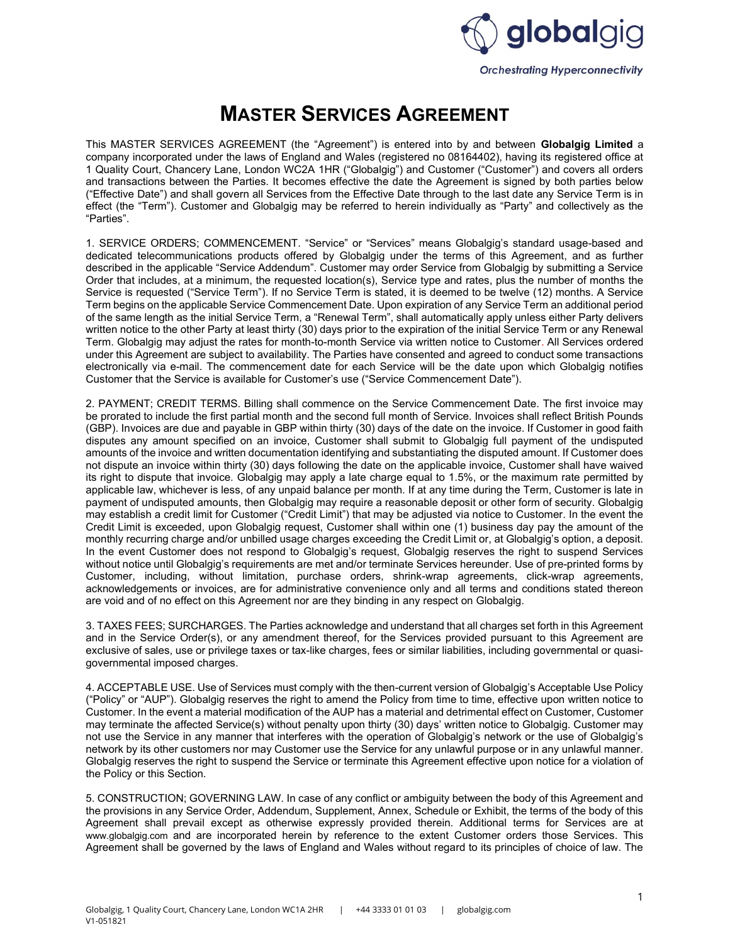

## MASTER SERVICES AGREEMENT

This MASTER SERVICES AGREEMENT (the "Agreement") is entered into by and between Globalgig Limited a company incorporated under the laws of England and Wales (registered no 08164402), having its registered office at 1 Quality Court, Chancery Lane, London WC2A 1HR ("Globalgig") and Customer ("Customer") and covers all orders and transactions between the Parties. It becomes effective the date the Agreement is signed by both parties below ("Effective Date") and shall govern all Services from the Effective Date through to the last date any Service Term is in effect (the "Term"). Customer and Globalgig may be referred to herein individually as "Party" and collectively as the "Parties".

1. SERVICE ORDERS; COMMENCEMENT. "Service" or "Services" means Globalgig's standard usage-based and dedicated telecommunications products offered by Globalgig under the terms of this Agreement, and as further described in the applicable "Service Addendum". Customer may order Service from Globalgig by submitting a Service Order that includes, at a minimum, the requested location(s), Service type and rates, plus the number of months the Service is requested ("Service Term"). If no Service Term is stated, it is deemed to be twelve (12) months. A Service Term begins on the applicable Service Commencement Date. Upon expiration of any Service Term an additional period of the same length as the initial Service Term, a "Renewal Term", shall automatically apply unless either Party delivers written notice to the other Party at least thirty (30) days prior to the expiration of the initial Service Term or any Renewal Term. Globalgig may adjust the rates for month-to-month Service via written notice to Customer. All Services ordered under this Agreement are subject to availability. The Parties have consented and agreed to conduct some transactions electronically via e-mail. The commencement date for each Service will be the date upon which Globalgig notifies Customer that the Service is available for Customer's use ("Service Commencement Date").

2. PAYMENT; CREDIT TERMS. Billing shall commence on the Service Commencement Date. The first invoice may be prorated to include the first partial month and the second full month of Service. Invoices shall reflect British Pounds (GBP). Invoices are due and payable in GBP within thirty (30) days of the date on the invoice. If Customer in good faith disputes any amount specified on an invoice, Customer shall submit to Globalgig full payment of the undisputed amounts of the invoice and written documentation identifying and substantiating the disputed amount. If Customer does not dispute an invoice within thirty (30) days following the date on the applicable invoice, Customer shall have waived its right to dispute that invoice. Globalgig may apply a late charge equal to 1.5%, or the maximum rate permitted by applicable law, whichever is less, of any unpaid balance per month. If at any time during the Term, Customer is late in payment of undisputed amounts, then Globalgig may require a reasonable deposit or other form of security. Globalgig may establish a credit limit for Customer ("Credit Limit") that may be adjusted via notice to Customer. In the event the Credit Limit is exceeded, upon Globalgig request, Customer shall within one (1) business day pay the amount of the monthly recurring charge and/or unbilled usage charges exceeding the Credit Limit or, at Globalgig's option, a deposit. In the event Customer does not respond to Globalgig's request, Globalgig reserves the right to suspend Services without notice until Globalgig's requirements are met and/or terminate Services hereunder. Use of pre-printed forms by Customer, including, without limitation, purchase orders, shrink-wrap agreements, click-wrap agreements, acknowledgements or invoices, are for administrative convenience only and all terms and conditions stated thereon are void and of no effect on this Agreement nor are they binding in any respect on Globalgig.

3. TAXES FEES; SURCHARGES. The Parties acknowledge and understand that all charges set forth in this Agreement and in the Service Order(s), or any amendment thereof, for the Services provided pursuant to this Agreement are exclusive of sales, use or privilege taxes or tax-like charges, fees or similar liabilities, including governmental or quasigovernmental imposed charges.

4. ACCEPTABLE USE. Use of Services must comply with the then-current version of Globalgig's Acceptable Use Policy ("Policy" or "AUP"). Globalgig reserves the right to amend the Policy from time to time, effective upon written notice to Customer. In the event a material modification of the AUP has a material and detrimental effect on Customer, Customer may terminate the affected Service(s) without penalty upon thirty (30) days' written notice to Globalgig. Customer may not use the Service in any manner that interferes with the operation of Globalgig's network or the use of Globalgig's network by its other customers nor may Customer use the Service for any unlawful purpose or in any unlawful manner. Globalgig reserves the right to suspend the Service or terminate this Agreement effective upon notice for a violation of the Policy or this Section.

5. CONSTRUCTION; GOVERNING LAW. In case of any conflict or ambiguity between the body of this Agreement and the provisions in any Service Order, Addendum, Supplement, Annex, Schedule or Exhibit, the terms of the body of this Agreement shall prevail except as otherwise expressly provided therein. Additional terms for Services are at www.globalgig.com and are incorporated herein by reference to the extent Customer orders those Services. This Agreement shall be governed by the laws of England and Wales without regard to its principles of choice of law. The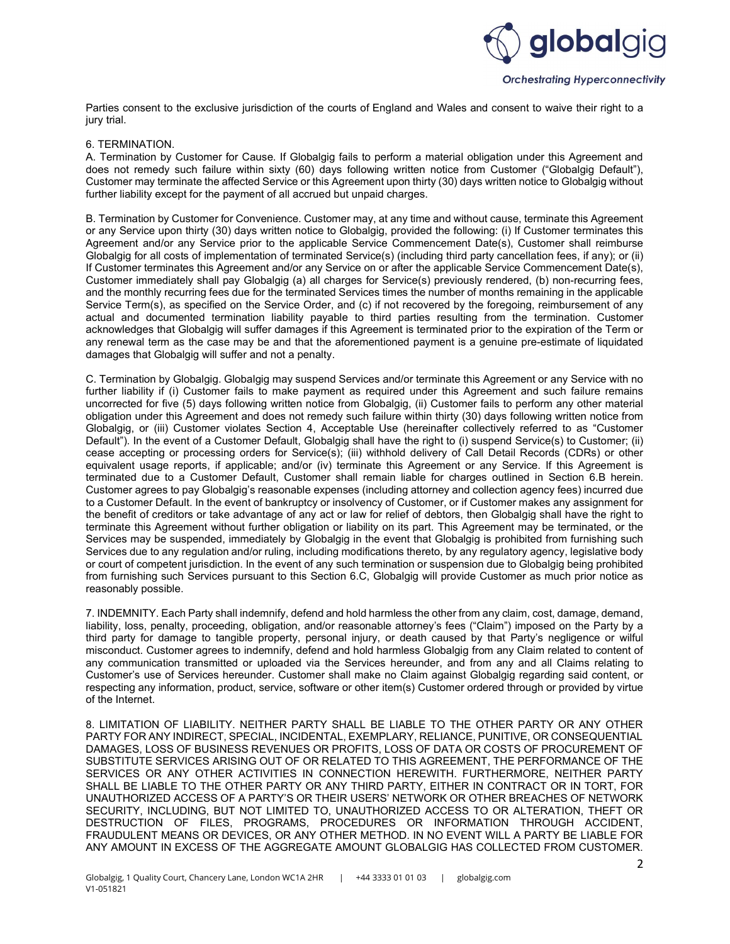

Parties consent to the exclusive jurisdiction of the courts of England and Wales and consent to waive their right to a jury trial.

## 6. TERMINATION.

A. Termination by Customer for Cause. If Globalgig fails to perform a material obligation under this Agreement and does not remedy such failure within sixty (60) days following written notice from Customer ("Globalgig Default"), Customer may terminate the affected Service or this Agreement upon thirty (30) days written notice to Globalgig without further liability except for the payment of all accrued but unpaid charges.

B. Termination by Customer for Convenience. Customer may, at any time and without cause, terminate this Agreement or any Service upon thirty (30) days written notice to Globalgig, provided the following: (i) If Customer terminates this Agreement and/or any Service prior to the applicable Service Commencement Date(s), Customer shall reimburse Globalgig for all costs of implementation of terminated Service(s) (including third party cancellation fees, if any); or (ii) If Customer terminates this Agreement and/or any Service on or after the applicable Service Commencement Date(s), Customer immediately shall pay Globalgig (a) all charges for Service(s) previously rendered, (b) non-recurring fees, and the monthly recurring fees due for the terminated Services times the number of months remaining in the applicable Service Term(s), as specified on the Service Order, and (c) if not recovered by the foregoing, reimbursement of any actual and documented termination liability payable to third parties resulting from the termination. Customer acknowledges that Globalgig will suffer damages if this Agreement is terminated prior to the expiration of the Term or any renewal term as the case may be and that the aforementioned payment is a genuine pre-estimate of liquidated damages that Globalgig will suffer and not a penalty.

C. Termination by Globalgig. Globalgig may suspend Services and/or terminate this Agreement or any Service with no further liability if (i) Customer fails to make payment as required under this Agreement and such failure remains uncorrected for five (5) days following written notice from Globalgig, (ii) Customer fails to perform any other material obligation under this Agreement and does not remedy such failure within thirty (30) days following written notice from Globalgig, or (iii) Customer violates Section 4, Acceptable Use (hereinafter collectively referred to as "Customer Default"). In the event of a Customer Default, Globalgig shall have the right to (i) suspend Service(s) to Customer; (ii) cease accepting or processing orders for Service(s); (iii) withhold delivery of Call Detail Records (CDRs) or other equivalent usage reports, if applicable; and/or (iv) terminate this Agreement or any Service. If this Agreement is terminated due to a Customer Default, Customer shall remain liable for charges outlined in Section 6.B herein. Customer agrees to pay Globalgig's reasonable expenses (including attorney and collection agency fees) incurred due to a Customer Default. In the event of bankruptcy or insolvency of Customer, or if Customer makes any assignment for the benefit of creditors or take advantage of any act or law for relief of debtors, then Globalgig shall have the right to terminate this Agreement without further obligation or liability on its part. This Agreement may be terminated, or the Services may be suspended, immediately by Globalgig in the event that Globalgig is prohibited from furnishing such Services due to any regulation and/or ruling, including modifications thereto, by any regulatory agency, legislative body or court of competent jurisdiction. In the event of any such termination or suspension due to Globalgig being prohibited from furnishing such Services pursuant to this Section 6.C, Globalgig will provide Customer as much prior notice as reasonably possible.

7. INDEMNITY. Each Party shall indemnify, defend and hold harmless the other from any claim, cost, damage, demand, liability, loss, penalty, proceeding, obligation, and/or reasonable attorney's fees ("Claim") imposed on the Party by a third party for damage to tangible property, personal injury, or death caused by that Party's negligence or wilful misconduct. Customer agrees to indemnify, defend and hold harmless Globalgig from any Claim related to content of any communication transmitted or uploaded via the Services hereunder, and from any and all Claims relating to Customer's use of Services hereunder. Customer shall make no Claim against Globalgig regarding said content, or respecting any information, product, service, software or other item(s) Customer ordered through or provided by virtue of the Internet.

8. LIMITATION OF LIABILITY. NEITHER PARTY SHALL BE LIABLE TO THE OTHER PARTY OR ANY OTHER PARTY FOR ANY INDIRECT, SPECIAL, INCIDENTAL, EXEMPLARY, RELIANCE, PUNITIVE, OR CONSEQUENTIAL DAMAGES, LOSS OF BUSINESS REVENUES OR PROFITS, LOSS OF DATA OR COSTS OF PROCUREMENT OF SUBSTITUTE SERVICES ARISING OUT OF OR RELATED TO THIS AGREEMENT, THE PERFORMANCE OF THE SERVICES OR ANY OTHER ACTIVITIES IN CONNECTION HEREWITH. FURTHERMORE, NEITHER PARTY SHALL BE LIABLE TO THE OTHER PARTY OR ANY THIRD PARTY, EITHER IN CONTRACT OR IN TORT, FOR UNAUTHORIZED ACCESS OF A PARTY'S OR THEIR USERS' NETWORK OR OTHER BREACHES OF NETWORK SECURITY, INCLUDING, BUT NOT LIMITED TO, UNAUTHORIZED ACCESS TO OR ALTERATION, THEFT OR DESTRUCTION OF FILES, PROGRAMS, PROCEDURES OR INFORMATION THROUGH ACCIDENT, FRAUDULENT MEANS OR DEVICES, OR ANY OTHER METHOD. IN NO EVENT WILL A PARTY BE LIABLE FOR ANY AMOUNT IN EXCESS OF THE AGGREGATE AMOUNT GLOBALGIG HAS COLLECTED FROM CUSTOMER.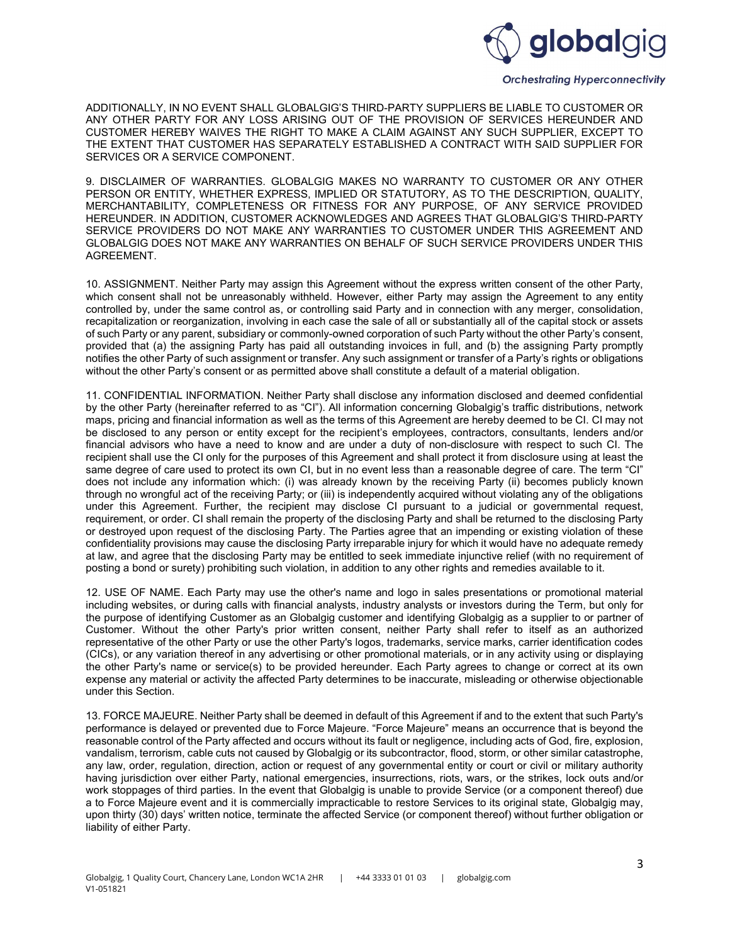

## **Orchestrating Hyperconnectivity**

ADDITIONALLY, IN NO EVENT SHALL GLOBALGIG'S THIRD-PARTY SUPPLIERS BE LIABLE TO CUSTOMER OR ANY OTHER PARTY FOR ANY LOSS ARISING OUT OF THE PROVISION OF SERVICES HEREUNDER AND CUSTOMER HEREBY WAIVES THE RIGHT TO MAKE A CLAIM AGAINST ANY SUCH SUPPLIER, EXCEPT TO THE EXTENT THAT CUSTOMER HAS SEPARATELY ESTABLISHED A CONTRACT WITH SAID SUPPLIER FOR SERVICES OR A SERVICE COMPONENT.

9. DISCLAIMER OF WARRANTIES. GLOBALGIG MAKES NO WARRANTY TO CUSTOMER OR ANY OTHER PERSON OR ENTITY, WHETHER EXPRESS, IMPLIED OR STATUTORY, AS TO THE DESCRIPTION, QUALITY, MERCHANTABILITY, COMPLETENESS OR FITNESS FOR ANY PURPOSE, OF ANY SERVICE PROVIDED HEREUNDER. IN ADDITION, CUSTOMER ACKNOWLEDGES AND AGREES THAT GLOBALGIG'S THIRD-PARTY SERVICE PROVIDERS DO NOT MAKE ANY WARRANTIES TO CUSTOMER UNDER THIS AGREEMENT AND GLOBALGIG DOES NOT MAKE ANY WARRANTIES ON BEHALF OF SUCH SERVICE PROVIDERS UNDER THIS AGREEMENT.

10. ASSIGNMENT. Neither Party may assign this Agreement without the express written consent of the other Party, which consent shall not be unreasonably withheld. However, either Party may assign the Agreement to any entity controlled by, under the same control as, or controlling said Party and in connection with any merger, consolidation, recapitalization or reorganization, involving in each case the sale of all or substantially all of the capital stock or assets of such Party or any parent, subsidiary or commonly-owned corporation of such Party without the other Party's consent, provided that (a) the assigning Party has paid all outstanding invoices in full, and (b) the assigning Party promptly notifies the other Party of such assignment or transfer. Any such assignment or transfer of a Party's rights or obligations without the other Party's consent or as permitted above shall constitute a default of a material obligation.

11. CONFIDENTIAL INFORMATION. Neither Party shall disclose any information disclosed and deemed confidential by the other Party (hereinafter referred to as "CI"). All information concerning Globalgig's traffic distributions, network maps, pricing and financial information as well as the terms of this Agreement are hereby deemed to be CI. CI may not be disclosed to any person or entity except for the recipient's employees, contractors, consultants, lenders and/or financial advisors who have a need to know and are under a duty of non-disclosure with respect to such CI. The recipient shall use the CI only for the purposes of this Agreement and shall protect it from disclosure using at least the same degree of care used to protect its own CI, but in no event less than a reasonable degree of care. The term "CI" does not include any information which: (i) was already known by the receiving Party (ii) becomes publicly known through no wrongful act of the receiving Party; or (iii) is independently acquired without violating any of the obligations under this Agreement. Further, the recipient may disclose CI pursuant to a judicial or governmental request, requirement, or order. CI shall remain the property of the disclosing Party and shall be returned to the disclosing Party or destroyed upon request of the disclosing Party. The Parties agree that an impending or existing violation of these confidentiality provisions may cause the disclosing Party irreparable injury for which it would have no adequate remedy at law, and agree that the disclosing Party may be entitled to seek immediate injunctive relief (with no requirement of posting a bond or surety) prohibiting such violation, in addition to any other rights and remedies available to it.

12. USE OF NAME. Each Party may use the other's name and logo in sales presentations or promotional material including websites, or during calls with financial analysts, industry analysts or investors during the Term, but only for the purpose of identifying Customer as an Globalgig customer and identifying Globalgig as a supplier to or partner of Customer. Without the other Party's prior written consent, neither Party shall refer to itself as an authorized representative of the other Party or use the other Party's logos, trademarks, service marks, carrier identification codes (CICs), or any variation thereof in any advertising or other promotional materials, or in any activity using or displaying the other Party's name or service(s) to be provided hereunder. Each Party agrees to change or correct at its own expense any material or activity the affected Party determines to be inaccurate, misleading or otherwise objectionable under this Section.

13. FORCE MAJEURE. Neither Party shall be deemed in default of this Agreement if and to the extent that such Party's performance is delayed or prevented due to Force Majeure. "Force Majeure" means an occurrence that is beyond the reasonable control of the Party affected and occurs without its fault or negligence, including acts of God, fire, explosion, vandalism, terrorism, cable cuts not caused by Globalgig or its subcontractor, flood, storm, or other similar catastrophe, any law, order, regulation, direction, action or request of any governmental entity or court or civil or military authority having jurisdiction over either Party, national emergencies, insurrections, riots, wars, or the strikes, lock outs and/or work stoppages of third parties. In the event that Globalgig is unable to provide Service (or a component thereof) due a to Force Majeure event and it is commercially impracticable to restore Services to its original state, Globalgig may, upon thirty (30) days' written notice, terminate the affected Service (or component thereof) without further obligation or liability of either Party.